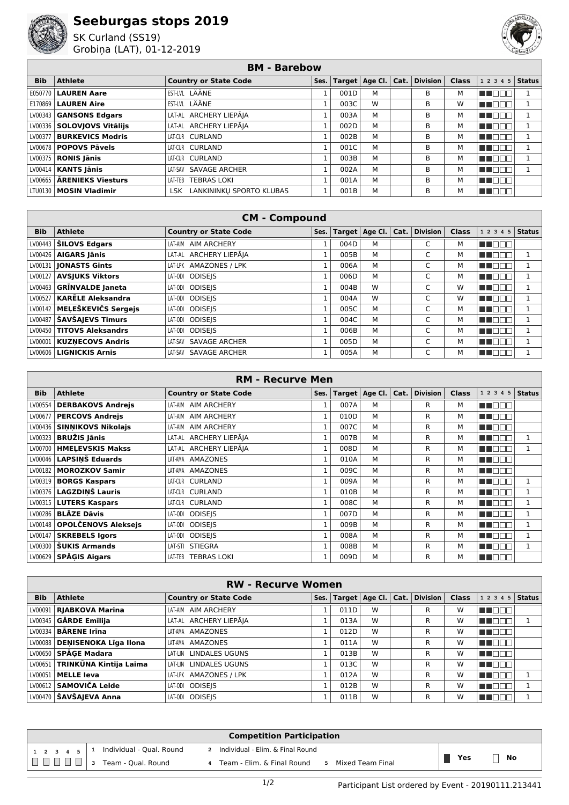

## **Seeburgas stops 2019**

SK Curland (SS19) Grobiņa (LAT), 01-12-2019



## **BM - Barebow**

| <b>Bib</b> | <b>Athlete</b>               | <b>Country or State Code</b>  | Ses. |      | Target $ $ Age Cl. $ $ Cat. $ $ | $\vert$ Division $\vert$ Class |   | $12345$ Status |  |
|------------|------------------------------|-------------------------------|------|------|---------------------------------|--------------------------------|---|----------------|--|
| E050770    | <b>LAUREN Aare</b>           | EST-LVL LÄÄNE                 |      | 001D | м                               | в                              | м | T E E E        |  |
| E170869    | <b>LAUREN Aire</b>           | EST-LVL LÄÄNE                 |      | 003C | W                               | В                              | W | TI EI          |  |
|            | LV00343   GANSONS Edgars     | LAT-AL ARCHERY LIEPĀJA        |      | 003A | м                               | B                              | м | MN 880         |  |
|            | LV00336 SOLOVIOVS Vitālijs   | LAT-AL ARCHERY LIEPĀJA        |      | 002D | M                               | В                              | м | TI FIT         |  |
| LV00377    | <b>BURKEVICS Modris</b>      | LAT-CUR CURLAND               |      | 002B | М                               | В                              | м | N NOT          |  |
|            | LV00678   POPOVS Pāvels      | LAT-CUR CURLAND               |      | 001C | м                               | B                              | м | n de la c      |  |
|            | $LV00375$ RONIS Jānis        | LAT-CUR CURLAND               |      | 003B | М                               | B                              | м | n di           |  |
|            | $LV00414$ <b>KANTS Janis</b> | LAT-SAV SAVAGE ARCHER         |      | 002A | м                               | B                              | м | m m            |  |
| LV00665    | ĀRENIEKS Viesturs            | <b>TEBRAS LOKI</b><br>LAT-TEB |      | 001A | м                               | B                              | М | MT E E E       |  |
|            | LTU0130   MOSIN Vladimir     | LSK LANKININKU SPORTO KLUBAS  |      | 001B | М                               | в                              | м | N I O O O      |  |

| <b>CM - Compound</b> |                           |                              |      |      |                  |      |                 |              |                |               |
|----------------------|---------------------------|------------------------------|------|------|------------------|------|-----------------|--------------|----------------|---------------|
| <b>Bib</b>           | <b>Athlete</b>            | <b>Country or State Code</b> | Ses. |      | Target   Age Cl. | Cat. | <b>Division</b> | <b>Class</b> | 1 2 3 4<br>5   | <b>Status</b> |
| LV00443              | <b>ŠILOVS Edgars</b>      | AIM ARCHERY<br>LAT-AIM       |      | 004D | м                |      | C               | М            | N NA D         |               |
| LV00426              | <b>AIGARS Jānis</b>       | LAT-AL ARCHERY LIEPĀJA       |      | 005B | м                |      | C               | м            | صاحب المالي    |               |
| LV00131              | <b>IONASTS Gints</b>      | LAT-LPK AMAZONES / LPK       |      | 006A | м                |      | C               | м            | a ka           |               |
| LV00127              | <b>AVSJUKS Viktors</b>    | LAT-ODI ODISEIS              |      | 006D | М                |      | C               | м            | ППI<br>a ka    |               |
| LV00463              | <b>GRĪNVALDE Janeta</b>   | <b>ODISEIS</b><br>LAT-ODI    |      | 004B | W                |      | C               | W            | $\Box$<br>a ka |               |
| LV00527              | <b>KARËLE Aleksandra</b>  | <b>ODISEIS</b><br>LAT-ODI    |      | 004A | W                |      | C               | W            | 11 H H H       |               |
| LV00142              | MELEŠKEVIČS Sergejs       | <b>ODISEIS</b><br>LAT-ODI    |      | 005C | м                |      | C               | м            | a ka<br>       |               |
| LV00487              | <b>ŠAVŠAJEVS Timurs</b>   | <b>ODISEIS</b><br>LAT-ODI    |      | 004C | м                |      | C               | м            | a ka           |               |
| LV00450 I            | <b>TITOVS Aleksandrs</b>  | <b>ODISEIS</b><br>LAT-ODI    |      | 006B | м                |      | C               | М            | HI NOOC        |               |
| LV00001              | <b>KUZNECOVS Andris</b>   | SAVAGE ARCHER<br>LAT-SAV     |      | 005D | м                |      | C               | М            | U NOT          |               |
|                      | LV00606   LIGNICKIS Arnis | SAVAGE ARCHER<br>LAT-SAV     |      | 005A | м                |      | C               | м            | N E E E        |               |

| <b>RM - Recurve Men</b> |                            |                               |              |            |         |      |                 |              |                              |               |
|-------------------------|----------------------------|-------------------------------|--------------|------------|---------|------|-----------------|--------------|------------------------------|---------------|
| <b>Bib</b>              | <b>Athlete</b>             | <b>Country or State Code</b>  | Ses.         | Target $ $ | Age Cl. | Cat. | <b>Division</b> | <b>Class</b> | 1 2 3 4 5                    | <b>Status</b> |
| LV00554                 | <b>DERBAKOVS Andrejs</b>   | <b>AIM ARCHERY</b><br>LAT-AIM |              | 007A       | м       |      | R               | м            | n na m                       |               |
| LV00677                 | <b>PERCOVS Andrejs</b>     | <b>AIM ARCHERY</b><br>LAT-AIM |              | 010D       | М       |      | R               | м            | HEN TITLE                    |               |
| LV00436                 | <b>SINNIKOVS Nikolajs</b>  | LAT-AIM<br><b>AIM ARCHERY</b> | 1            | 007C       | М       |      | R               | м            | HE NOT                       |               |
| LV00323                 | <b>BRUŽIS Jānis</b>        | LAT-AL ARCHERY LIEPĀJA        | $\mathbf{1}$ | 007B       | М       |      | R               | м            | <u>Film</u>                  |               |
| LV00700 l               | <b>HMELEVSKIS Makss</b>    | LAT-AL ARCHERY LIEPĀJA        | $\mathbf{1}$ | 008D       | М       |      | R               | м            | <b>TITLE</b><br>┐г           |               |
| LV00046 l               | <b>LAPSINŠ Eduards</b>     | AMAZONES<br>LAT-AMA           | $\mathbf{1}$ | 010A       | М       |      | R               | м            | <b>RICO DE LA PERSONA DE</b> |               |
| LV00182                 | <b>MOROZKOV Samir</b>      | AMAZONES<br>LAT-AMA           |              | 009C       | М       |      | R               | м            | n na m                       |               |
| LV00319                 | <b>BORGS Kaspars</b>       | LAT-CUR CURLAND               |              | 009A       | М       |      | R               | м            | m mm                         | 1             |
| LV00376 l               | <b>LAGZDINŠ Lauris</b>     | LAT-CUR CURLAND               |              | 010B       | М       |      | R               | М            | n na m                       |               |
| LV00315 l               | <b>LUTERS Kaspars</b>      | LAT-CUR CURLAND               |              | 008C       | M       |      | R               | М            | m n                          |               |
| LV00286                 | <b>BLĀZE Dāvis</b>         | <b>ODISEIS</b><br>LAT-ODI     |              | 007D       | М       |      | R               | м            | <u>ra m</u>                  |               |
| LV00148                 | <b>OPOLČENOVS Aleksejs</b> | LAT-ODI<br><b>ODISEIS</b>     |              | 009B       | М       |      | R               | м            | n in mi                      |               |
| LV00147                 | <b>SKREBELS Igors</b>      | <b>ODISEIS</b><br>LAT-ODI     |              | 008A       | М       |      | R               | м            | m m                          | 1             |
| LV00300                 | <b>ŠUKIS Armands</b>       | <b>STIEGRA</b><br>LAT-STI     | 1            | 008B       | М       |      | R               | м            | m m                          | $\mathbf{1}$  |
| LV00629 l               | <b>SPAGIS Aigars</b>       | <b>TEBRAS LOKI</b><br>LAT-TEB | 1            | 009D       | M       |      | R               | м            | <b>HELITE</b>                |               |

| <b>RW - Recurve Women</b> |                                 |                               |      |      |                        |      |          |              |                    |  |
|---------------------------|---------------------------------|-------------------------------|------|------|------------------------|------|----------|--------------|--------------------|--|
| <b>Bib</b>                | <b>Athlete</b>                  | <b>Country or State Code</b>  | Ses. |      | Target $ $ Age Cl. $ $ | Cat. | Division | <b>Class</b> | 1 2 3 4 5   Status |  |
| LV00091                   | <b>RJABKOVA Marina</b>          | <b>AIM ARCHERY</b><br>LAT-AIM |      | 011D | W                      |      | R        | w            | M DOO              |  |
|                           | $LV00345$ GARDE Emilija         | LAT-AL ARCHERY LIEPĀJA        |      | 013A | W                      |      | R        | W            | HI EEE             |  |
| LV00334                   | <b>BÅRENE Irina</b>             | LAT-AMA AMAZONES              |      | 012D | W                      |      | R        | W            | M DE E             |  |
|                           | LV00088   DENISENOKA Līga Ilona | AMAZONES<br>LAT-AMA           |      | 011A | W                      |      | R        | w            | n nooc             |  |
|                           | LV00650   SPĀGE Madara          | LAT-LIN LINDALES UGUNS        |      | 013B | W                      |      | R        | W            | T FER              |  |
| LV00651                   | TRINKŪNA Kintija Laima          | LAT-LIN LINDALES UGUNS        |      | 013C | W                      |      | R        | W            | MN O B B           |  |
| LV00051                   | <b>MELLE leva</b>               | LAT-LPK AMAZONES / LPK        |      | 012A | W                      |      | R        | W            | M DE B             |  |
| LV00612                   | <b>SAMOVIČA Leide</b>           | LAT-ODI ODISEIS               |      | 012B | W                      |      | R        | W            | M DE E             |  |
|                           | LV00470   ŠAVŠAJEVA Anna        | LAT-ODI ODISEIS               |      | 011B | W                      |      | R        | w            | <b>VENNA</b>       |  |

| <b>Competition Participation</b> |                          |                                               |           |  |  |  |  |  |  |
|----------------------------------|--------------------------|-----------------------------------------------|-----------|--|--|--|--|--|--|
| $1 \t2 \t3 \t4 \t5$              | Individual - Qual. Round | 2 Individual - Elim. & Final Round            |           |  |  |  |  |  |  |
|                                  | 3 Team - Qual. Round     | Team - Elim, & Final Round 5 Mixed Team Final | Yes<br>No |  |  |  |  |  |  |